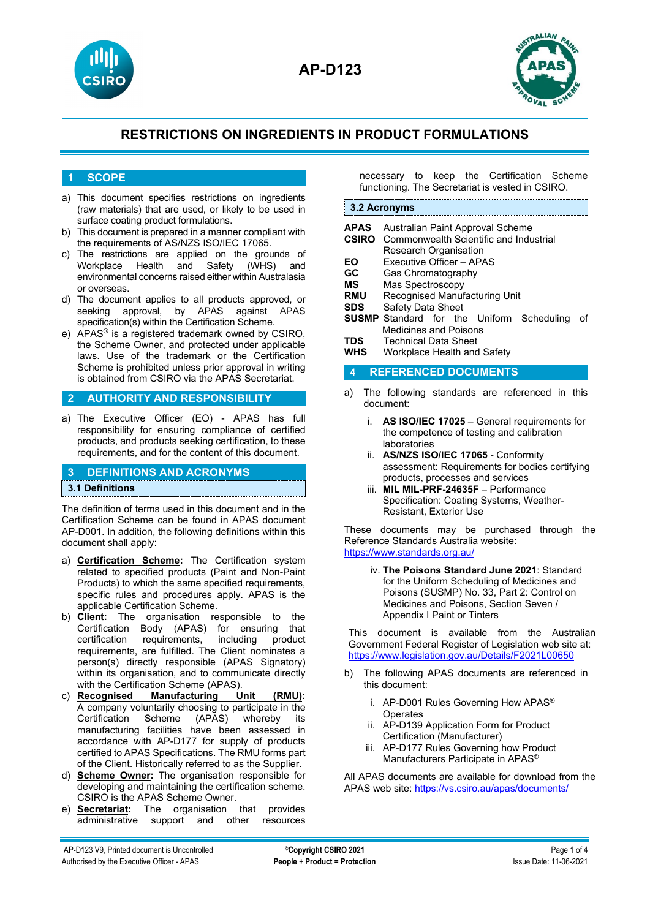



## **1 SCOPE**

- a) This document specifies restrictions on ingredients (raw materials) that are used, or likely to be used in surface coating product formulations.
- b) This document is prepared in a manner compliant with the requirements of AS/NZS ISO/IEC 17065.
- c) The restrictions are applied on the grounds of<br>Workplace Health and Safety (WHS) and Workplace Health and Safety (WHS) and environmental concerns raised either within Australasia or overseas.
- d) The document applies to all products approved, or seeking approval, by APAS against APAS specification(s) within the Certification Scheme.
- e) APAS® is a registered trademark owned by CSIRO, the Scheme Owner, and protected under applicable laws. Use of the trademark or the Certification Scheme is prohibited unless prior approval in writing is obtained from CSIRO via the APAS Secretariat.

#### **2 AUTHORITY AND RESPONSIBILITY**

a) The Executive Officer (EO) - APAS has full responsibility for ensuring compliance of certified products, and products seeking certification, to these requirements, and for the content of this document.

#### **3 DEFINITIONS AND ACRONYMS**

#### **3.1 Definitions**

The definition of terms used in this document and in the Certification Scheme can be found in APAS document AP-D001. In addition, the following definitions within this document shall apply:

- a) **Certification Scheme:** The Certification system related to specified products (Paint and Non-Paint Products) to which the same specified requirements, specific rules and procedures apply. APAS is the applicable Certification Scheme.
- b) **Client:** The organisation responsible to the Certification Body (APAS) for ensuring that certification requirements, including product requirements, requirements, are fulfilled. The Client nominates a person(s) directly responsible (APAS Signatory) within its organisation, and to communicate directly with the Certification Scheme (APAS).<br>c) **Recognised Manufacturing U**
- **Manufacturing Unit (RMU):** A company voluntarily choosing to participate in the Certification Scheme (APAS) whereby its manufacturing facilities have been assessed in accordance with AP-D177 for supply of products certified to APAS Specifications. The RMU forms part of the Client. Historically referred to as the Supplier.
- d) **Scheme Owner:** The organisation responsible for developing and maintaining the certification scheme. CSIRO is the APAS Scheme Owner.
- e) **Secretariat:** The organisation that provides administrative support and other resources

necessary to keep the Certification Scheme functioning. The Secretariat is vested in CSIRO.

#### **3.2 Acronyms**

| APAS<br><b>CSIRO</b><br>EΟ<br>GC<br>МS<br><b>RMU</b><br>SDS<br>TDS.<br>WHS | Australian Paint Approval Scheme<br>Commonwealth Scientific and Industrial<br><b>Research Organisation</b><br>Executive Officer - APAS<br>Gas Chromatography<br>Mas Spectroscopy<br>Recognised Manufacturing Unit<br>Safety Data Sheet<br><b>SUSMP</b> Standard for the Uniform Scheduling<br>Medicines and Poisons<br><b>Technical Data Sheet</b><br>Workplace Health and Safety |  |  | οf |
|----------------------------------------------------------------------------|-----------------------------------------------------------------------------------------------------------------------------------------------------------------------------------------------------------------------------------------------------------------------------------------------------------------------------------------------------------------------------------|--|--|----|
| 4                                                                          | <b>REFERENCED DOCUMENTS</b>                                                                                                                                                                                                                                                                                                                                                       |  |  |    |
| a)                                                                         | The following standards are referenced in this                                                                                                                                                                                                                                                                                                                                    |  |  |    |

- a) The following standards are referenced in this document:
	- i. **AS ISO/IEC 17025** General requirements for the competence of testing and calibration laboratories
	- ii. **AS/NZS ISO/IEC 17065** Conformity assessment: Requirements for bodies certifying products, processes and services
	- iii. **MIL MIL-PRF-24635F** Performance Specification: Coating Systems, Weather-Resistant, Exterior Use

These documents may be purchased through the Reference Standards Australia website: <https://www.standards.org.au/>

> iv. **The Poisons Standard June 2021**: Standard for the Uniform Scheduling of Medicines and Poisons (SUSMP) No. 33, Part 2: Control on Medicines and Poisons, Section Seven / Appendix I Paint or Tinters

This document is available from the Australian Government Federal Register of Legislation web site at: <https://www.legislation.gov.au/Details/F2021L00650>

- b) The following APAS documents are referenced in this document:
	- i. AP-D001 Rules Governing How APAS® **Operates**
	- ii. AP-D139 Application Form for Product Certification (Manufacturer)
	- iii. AP-D177 Rules Governing how Product Manufacturers Participate in APAS®

All APAS documents are available for download from the APAS web site:<https://vs.csiro.au/apas/documents/>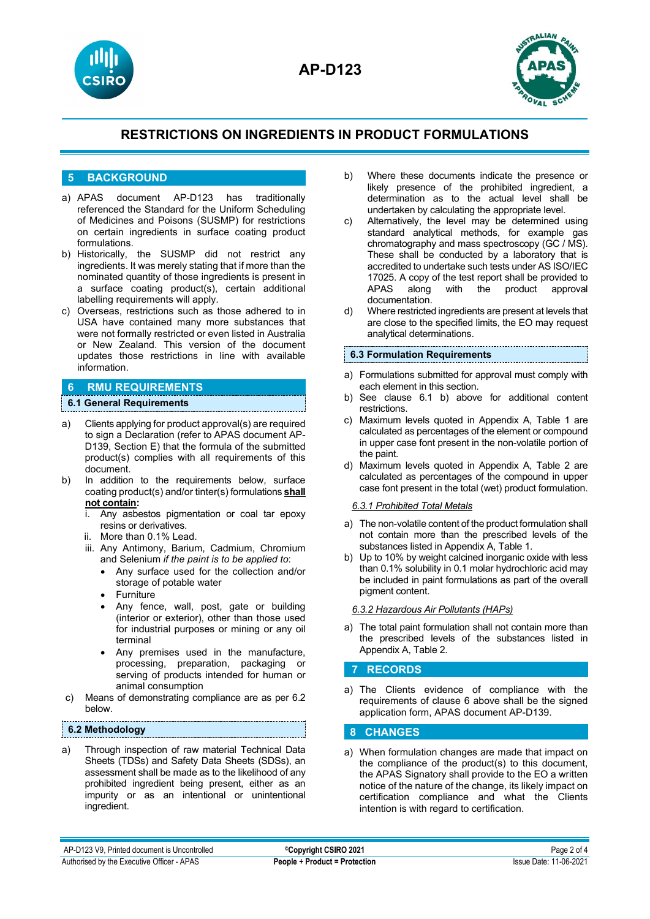



## **5 BACKGROUND**

- a) APAS document AP-D123 has traditionally referenced the Standard for the Uniform Scheduling of Medicines and Poisons (SUSMP) for restrictions on certain ingredients in surface coating product formulations.
- b) Historically, the SUSMP did not restrict any ingredients. It was merely stating that if more than the nominated quantity of those ingredients is present in a surface coating product(s), certain additional labelling requirements will apply.
- c) Overseas, restrictions such as those adhered to in USA have contained many more substances that were not formally restricted or even listed in Australia or New Zealand. This version of the document updates those restrictions in line with available information.

## **6 RMU REQUIREMENTS**

## **6.1 General Requirements**

- a) Clients applying for product approval(s) are required to sign a Declaration (refer to APAS document AP-D139, Section E) that the formula of the submitted product(s) complies with all requirements of this document.
- b) In addition to the requirements below, surface coating product(s) and/or tinter(s) formulations **shall not contain:**
	- i. Any asbestos pigmentation or coal tar epoxy resins or derivatives.
	- ii. More than 0.1% Lead.
	- iii. Any Antimony, Barium, Cadmium, Chromium and Selenium *if the paint is to be applied to*:
		- Any surface used for the collection and/or storage of potable water
		- **Furniture**
		- Any fence, wall, post, gate or building (interior or exterior), other than those used for industrial purposes or mining or any oil terminal
		- Any premises used in the manufacture, processing, preparation, packaging or serving of products intended for human or animal consumption
- c) Means of demonstrating compliance are as per 6.2 below.

#### **6.2 Methodology**

a) Through inspection of raw material Technical Data Sheets (TDSs) and Safety Data Sheets (SDSs), an assessment shall be made as to the likelihood of any prohibited ingredient being present, either as an impurity or as an intentional or unintentional ingredient.

- b) Where these documents indicate the presence or likely presence of the prohibited ingredient, a determination as to the actual level shall be undertaken by calculating the appropriate level.
- c) Alternatively, the level may be determined using standard analytical methods, for example gas chromatography and mass spectroscopy (GC / MS). These shall be conducted by a laboratory that is accredited to undertake such tests under AS ISO/IEC 17025. A copy of the test report shall be provided to APAS along with the product approval with the product documentation.
- d) Where restricted ingredients are present at levels that are close to the specified limits, the EO may request analytical determinations.

#### **6.3 Formulation Requirements**

- a) Formulations submitted for approval must comply with each element in this section.
- b) See clause 6.1 b) above for additional content restrictions.
- c) Maximum levels quoted in Appendix A, Table 1 are calculated as percentages of the element or compound in upper case font present in the non-volatile portion of the paint.
- d) Maximum levels quoted in Appendix A, Table 2 are calculated as percentages of the compound in upper case font present in the total (wet) product formulation.

#### *6.3.1 Prohibited Total Metals*

- a) The non-volatile content of the product formulation shall not contain more than the prescribed levels of the substances listed in Appendix A, Table 1.
- b) Up to 10% by weight calcined inorganic oxide with less than 0.1% solubility in 0.1 molar hydrochloric acid may be included in paint formulations as part of the overall pigment content.

#### *6.3.2 Hazardous Air Pollutants (HAPs)*

a) The total paint formulation shall not contain more than the prescribed levels of the substances listed in Appendix A, Table 2.

#### **7 RECORDS**

a) The Clients evidence of compliance with the requirements of clause 6 above shall be the signed application form, APAS document AP-D139.

## **8 CHANGES**

a) When formulation changes are made that impact on the compliance of the product(s) to this document, the APAS Signatory shall provide to the EO a written notice of the nature of the change, its likely impact on certification compliance and what the Clients intention is with regard to certification.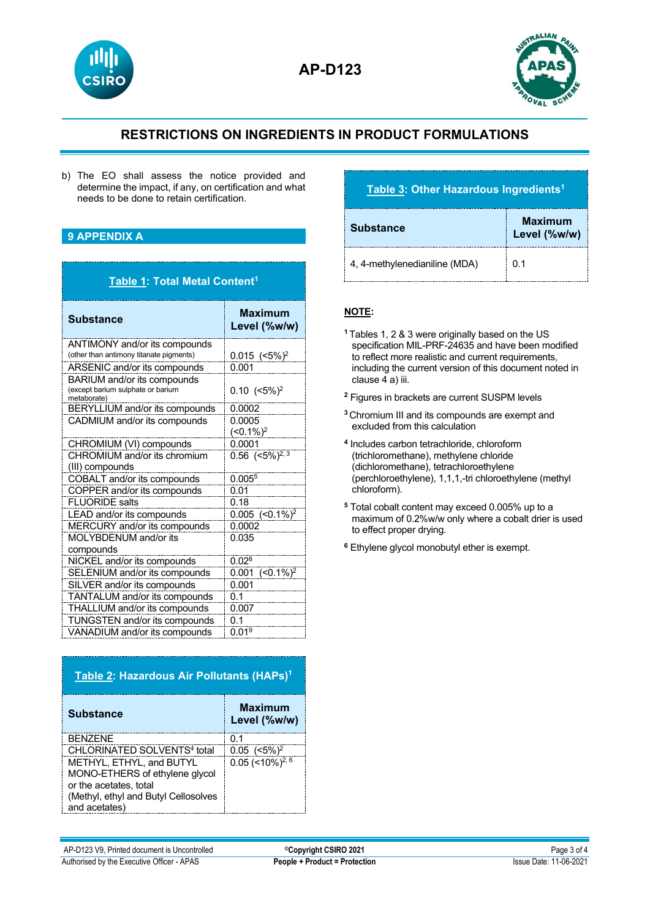



b) The EO shall assess the notice provided and determine the impact, if any, on certification and what needs to be done to retain certification.

## **9 APPENDIX A**

| Table 1: Total Metal Content <sup>1</sup>                                       |                                |  |
|---------------------------------------------------------------------------------|--------------------------------|--|
| <b>Substance</b>                                                                | <b>Maximum</b><br>Level (%w/w) |  |
| ANTIMONY and/or its compounds<br>(other than antimony titanate pigments)        | $0.015$ (<5%) <sup>2</sup>     |  |
| ARSENIC and/or its compounds                                                    | 0.001                          |  |
| BARIUM and/or its compounds<br>(except barium sulphate or barium<br>metaborate) | $0.10$ $(<5\%)^2$              |  |
| BERYLLIUM and/or its compounds                                                  | 0.0002                         |  |
| CADMIUM and/or its compounds                                                    | 0.0005<br>$(<0.1\%)^2$         |  |
| CHROMIUM (VI) compounds                                                         | 0.0001                         |  |
| CHROMIUM and/or its chromium                                                    | 0.56 $(<5\%)^{2,3}$            |  |
| (III) compounds                                                                 |                                |  |
| COBALT and/or its compounds                                                     | 0.005 <sup>5</sup>             |  |
| COPPER and/or its compounds                                                     | 0.01                           |  |
| <b>FLUORIDE</b> salts                                                           | 0.18                           |  |
| LEAD and/or its compounds                                                       | $0.005$ $(<0.1\%)^2$           |  |
| MERCURY and/or its compounds                                                    | 0.0002                         |  |
| MOLYBDENUM and/or its<br>compounds                                              | 0.035                          |  |
| NICKEL and/or its compounds                                                     | 0.02 <sup>8</sup>              |  |
| SELENIUM and/or its compounds                                                   | $(<0.1\%)^2$<br>0.001          |  |
| SILVER and/or its compounds                                                     | 0.001                          |  |
| TANTALUM and/or its compounds                                                   | 0.1                            |  |
| THALLIUM and/or its compounds                                                   | 0.007                          |  |
| TUNGSTEN and/or its compounds                                                   | 0.1                            |  |
| VANADIUM and/or its compounds                                                   | 0.019                          |  |

| Table 2: Hazardous Air Pollutants (HAPs) <sup>1</sup> |                                |  |
|-------------------------------------------------------|--------------------------------|--|
| <b>Substance</b>                                      | <b>Maximum</b><br>Level (%w/w) |  |
| <b>BENZENE</b>                                        | 0.1                            |  |
| CHLORINATED SOLVENTS <sup>4</sup> total               | $0.05$ $(<5\%)^2$              |  |
| METHYL, ETHYL, and BUTYL                              | $0.05$ (<10%) <sup>2, 6</sup>  |  |
| MONO-ETHERS of ethylene glycol                        |                                |  |
| or the acetates, total                                |                                |  |
| (Methyl, ethyl and Butyl Cellosolves                  |                                |  |
| and acetates)                                         |                                |  |

# **Table 3: Other Hazardous Ingredients1**

| <b>Substance</b>              | <b>Maximum</b><br>Level (%w/w) |
|-------------------------------|--------------------------------|
| 4, 4-methylenedianiline (MDA) | 0 1                            |

## **NOTE:**

- **<sup>1</sup>** Tables 1, 2 & 3 were originally based on the US specification MIL-PRF-24635 and have been modified to reflect more realistic and current requirements, including the current version of this document noted in clause 4 a) iii.
- **<sup>2</sup>** Figures in brackets are current SUSPM levels
- **<sup>3</sup>** Chromium III and its compounds are exempt and excluded from this calculation
- **<sup>4</sup>** Includes carbon tetrachloride, chloroform (trichloromethane), methylene chloride (dichloromethane), tetrachloroethylene (perchloroethylene), 1,1,1,-tri chloroethylene (methyl chloroform).
- **<sup>5</sup>** Total cobalt content may exceed 0.005% up to a maximum of 0.2%w/w only where a cobalt drier is used to effect proper drying.
- **<sup>6</sup>** Ethylene glycol monobutyl ether is exempt.